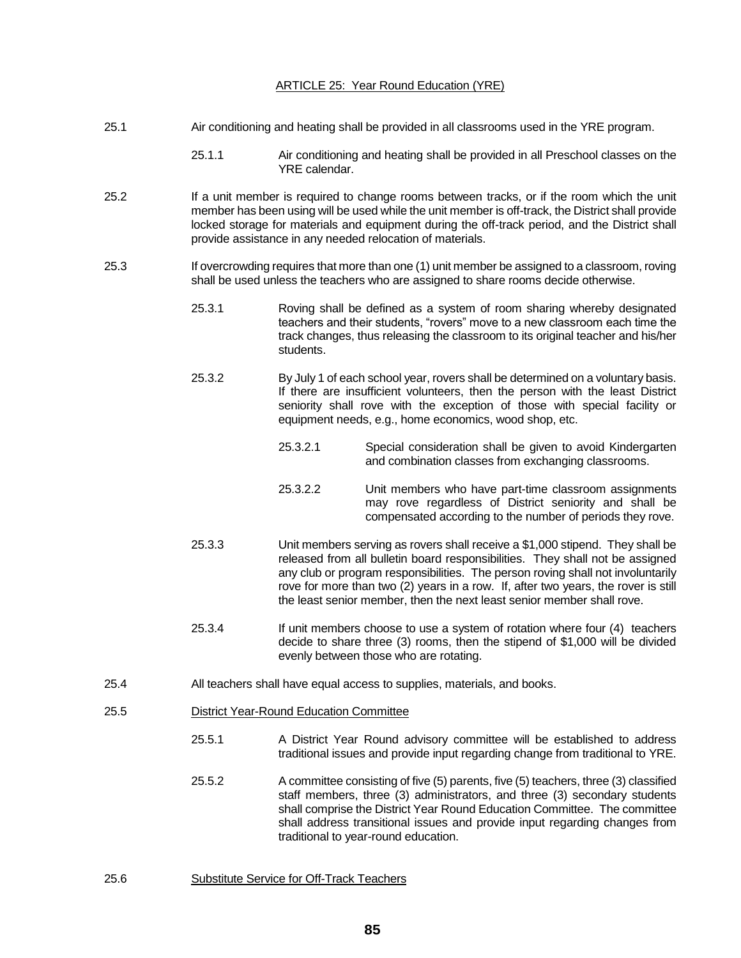### ARTICLE 25: Year Round Education (YRE)

- 25.1 Air conditioning and heating shall be provided in all classrooms used in the YRE program.
	- 25.1.1 Air conditioning and heating shall be provided in all Preschool classes on the YRE calendar.
- 25.2 If a unit member is required to change rooms between tracks, or if the room which the unit member has been using will be used while the unit member is off-track, the District shall provide locked storage for materials and equipment during the off-track period, and the District shall provide assistance in any needed relocation of materials.
- 25.3 If overcrowding requires that more than one (1) unit member be assigned to a classroom, roving shall be used unless the teachers who are assigned to share rooms decide otherwise.
	- 25.3.1 Roving shall be defined as a system of room sharing whereby designated teachers and their students, "rovers" move to a new classroom each time the track changes, thus releasing the classroom to its original teacher and his/her students.
	- 25.3.2 By July 1 of each school year, rovers shall be determined on a voluntary basis. If there are insufficient volunteers, then the person with the least District seniority shall rove with the exception of those with special facility or equipment needs, e.g., home economics, wood shop, etc.
		- 25.3.2.1 Special consideration shall be given to avoid Kindergarten and combination classes from exchanging classrooms.
		- 25.3.2.2 Unit members who have part-time classroom assignments may rove regardless of District seniority and shall be compensated according to the number of periods they rove.
	- 25.3.3 Unit members serving as rovers shall receive a \$1,000 stipend. They shall be released from all bulletin board responsibilities. They shall not be assigned any club or program responsibilities. The person roving shall not involuntarily rove for more than two (2) years in a row. If, after two years, the rover is still the least senior member, then the next least senior member shall rove.
	- 25.3.4 If unit members choose to use a system of rotation where four (4) teachers decide to share three (3) rooms, then the stipend of \$1,000 will be divided evenly between those who are rotating.
- 25.4 All teachers shall have equal access to supplies, materials, and books.
- 25.5 District Year-Round Education Committee
	- 25.5.1 A District Year Round advisory committee will be established to address traditional issues and provide input regarding change from traditional to YRE.
	- 25.5.2 A committee consisting of five (5) parents, five (5) teachers, three (3) classified staff members, three (3) administrators, and three (3) secondary students shall comprise the District Year Round Education Committee. The committee shall address transitional issues and provide input regarding changes from traditional to year-round education.
- 25.6 Substitute Service for Off-Track Teachers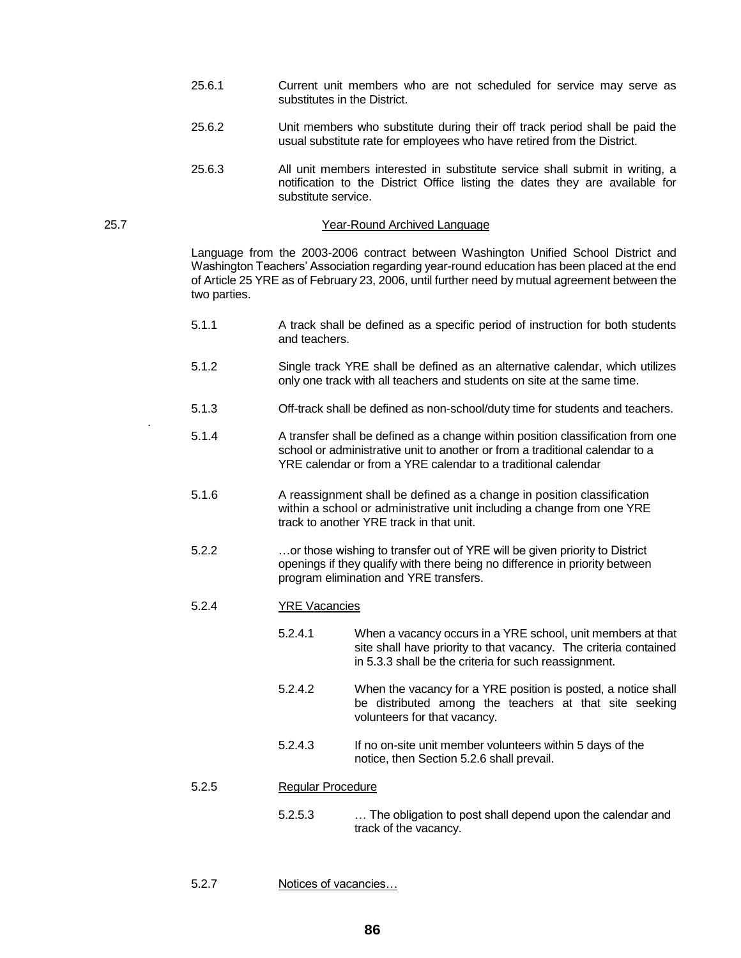- 25.6.1 Current unit members who are not scheduled for service may serve as substitutes in the District.
- 25.6.2 Unit members who substitute during their off track period shall be paid the usual substitute rate for employees who have retired from the District.
- 25.6.3 All unit members interested in substitute service shall submit in writing, a notification to the District Office listing the dates they are available for substitute service.

#### 25.7 Year-Round Archived Language

Language from the 2003-2006 contract between Washington Unified School District and Washington Teachers' Association regarding year-round education has been placed at the end of Article 25 YRE as of February 23, 2006, until further need by mutual agreement between the two parties.

- 5.1.1 A track shall be defined as a specific period of instruction for both students and teachers.
- 5.1.2 Single track YRE shall be defined as an alternative calendar, which utilizes only one track with all teachers and students on site at the same time.
- 5.1.3 Off-track shall be defined as non-school/duty time for students and teachers.
- 5.1.4 A transfer shall be defined as a change within position classification from one school or administrative unit to another or from a traditional calendar to a YRE calendar or from a YRE calendar to a traditional calendar
- 5.1.6 A reassignment shall be defined as a change in position classification within a school or administrative unit including a change from one YRE track to another YRE track in that unit.
- 5.2.2 …or those wishing to transfer out of YRE will be given priority to District openings if they qualify with there being no difference in priority between program elimination and YRE transfers.
- 5.2.4 YRE Vacancies

.

- 5.2.4.1 When a vacancy occurs in a YRE school, unit members at that site shall have priority to that vacancy. The criteria contained in 5.3.3 shall be the criteria for such reassignment.
- 5.2.4.2 When the vacancy for a YRE position is posted, a notice shall be distributed among the teachers at that site seeking volunteers for that vacancy.
- 5.2.4.3 If no on-site unit member volunteers within 5 days of the notice, then Section 5.2.6 shall prevail.

# 5.2.5 Regular Procedure

- 5.2.5.3 … The obligation to post shall depend upon the calendar and track of the vacancy.
- 5.2.7 Notices of vacancies…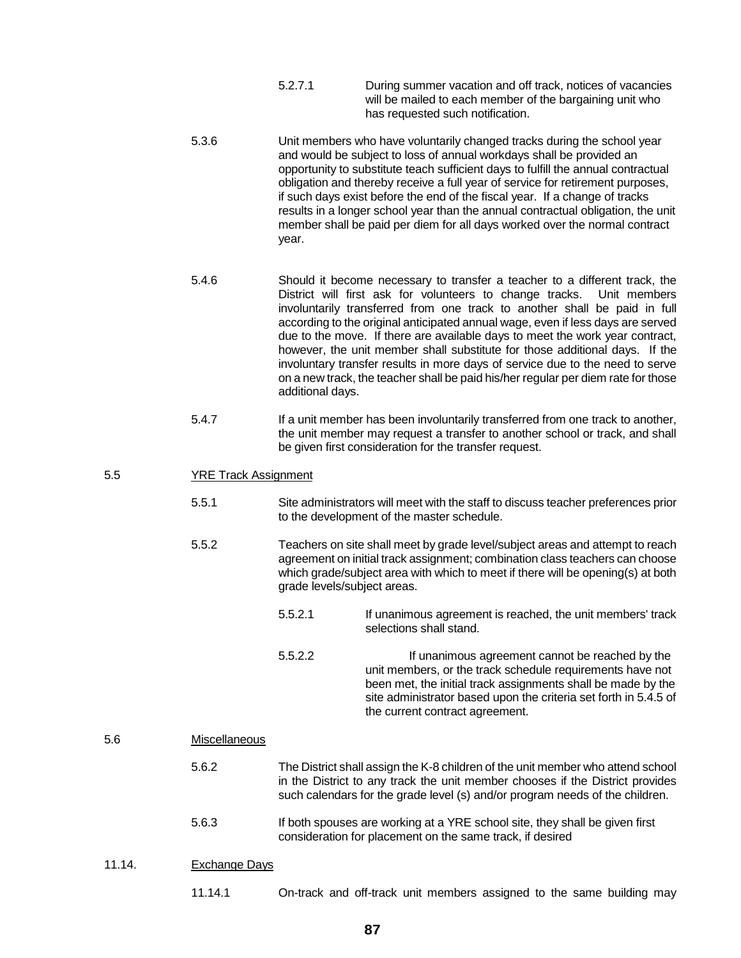- 5.2.7.1 During summer vacation and off track, notices of vacancies will be mailed to each member of the bargaining unit who has requested such notification.
- 5.3.6 Unit members who have voluntarily changed tracks during the school year and would be subject to loss of annual workdays shall be provided an opportunity to substitute teach sufficient days to fulfill the annual contractual obligation and thereby receive a full year of service for retirement purposes, if such days exist before the end of the fiscal year. If a change of tracks results in a longer school year than the annual contractual obligation, the unit member shall be paid per diem for all days worked over the normal contract year.
- 5.4.6 Should it become necessary to transfer a teacher to a different track, the District will first ask for volunteers to change tracks. Unit members involuntarily transferred from one track to another shall be paid in full according to the original anticipated annual wage, even if less days are served due to the move. If there are available days to meet the work year contract, however, the unit member shall substitute for those additional days. If the involuntary transfer results in more days of service due to the need to serve on a new track, the teacher shall be paid his/her regular per diem rate for those additional days.
- 5.4.7 If a unit member has been involuntarily transferred from one track to another, the unit member may request a transfer to another school or track, and shall be given first consideration for the transfer request.

# 5.5 YRE Track Assignment

- 5.5.1 Site administrators will meet with the staff to discuss teacher preferences prior to the development of the master schedule.
- 5.5.2 Teachers on site shall meet by grade level/subject areas and attempt to reach agreement on initial track assignment; combination class teachers can choose which grade/subject area with which to meet if there will be opening(s) at both grade levels/subject areas.
	- 5.5.2.1 If unanimous agreement is reached, the unit members' track selections shall stand.
	- 5.5.2.2 If unanimous agreement cannot be reached by the unit members, or the track schedule requirements have not been met, the initial track assignments shall be made by the site administrator based upon the criteria set forth in 5.4.5 of the current contract agreement.

## 5.6 Miscellaneous

- 5.6.2 The District shall assign the K-8 children of the unit member who attend school in the District to any track the unit member chooses if the District provides such calendars for the grade level (s) and/or program needs of the children.
- 5.6.3 If both spouses are working at a YRE school site, they shall be given first consideration for placement on the same track, if desired

## 11.14. Exchange Days

11.14.1 On-track and off-track unit members assigned to the same building may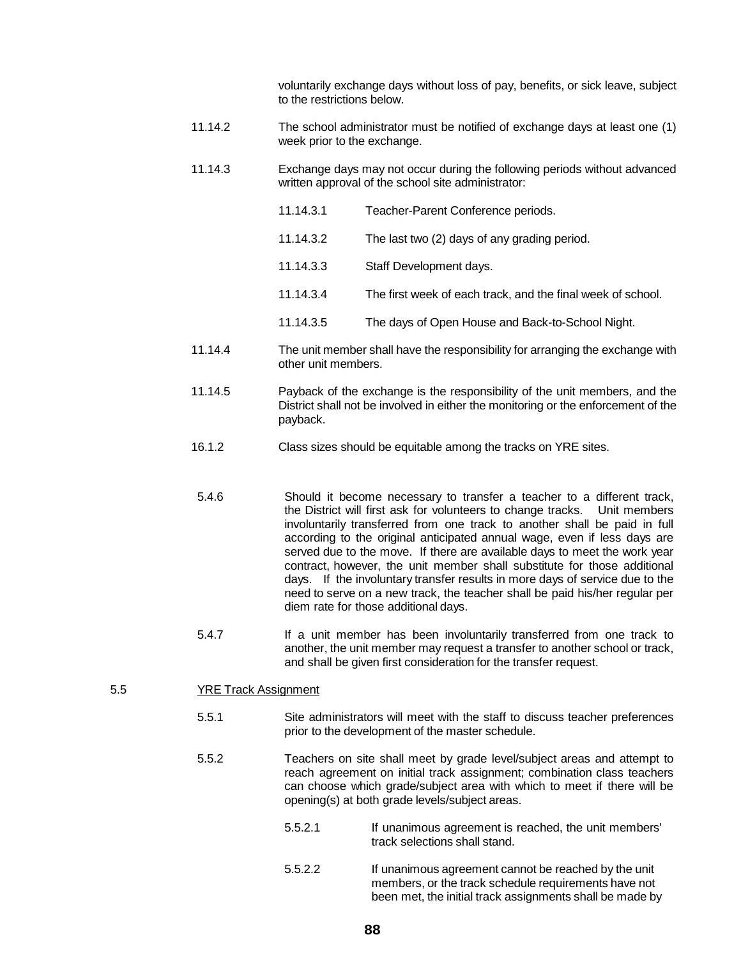voluntarily exchange days without loss of pay, benefits, or sick leave, subject to the restrictions below.

- 11.14.2 The school administrator must be notified of exchange days at least one (1) week prior to the exchange.
- 11.14.3 Exchange days may not occur during the following periods without advanced written approval of the school site administrator:
	- 11.14.3.1 Teacher-Parent Conference periods. 11.14.3.2 The last two (2) days of any grading period. 11.14.3.3 Staff Development days. 11.14.3.4 The first week of each track, and the final week of school.
		- 11.14.3.5 The days of Open House and Back-to-School Night.
- 11.14.4 The unit member shall have the responsibility for arranging the exchange with other unit members.
- 11.14.5 Payback of the exchange is the responsibility of the unit members, and the District shall not be involved in either the monitoring or the enforcement of the payback.
- 16.1.2 Class sizes should be equitable among the tracks on YRE sites.
- 5.4.6 Should it become necessary to transfer a teacher to a different track, the District will first ask for volunteers to change tracks. Unit members involuntarily transferred from one track to another shall be paid in full according to the original anticipated annual wage, even if less days are served due to the move. If there are available days to meet the work year contract, however, the unit member shall substitute for those additional days. If the involuntary transfer results in more days of service due to the need to serve on a new track, the teacher shall be paid his/her regular per diem rate for those additional days.
- 5.4.7 **If a unit member has been involuntarily transferred from one track to** another, the unit member may request a transfer to another school or track, and shall be given first consideration for the transfer request.

### 5.5 YRE Track Assignment

- 5.5.1 Site administrators will meet with the staff to discuss teacher preferences prior to the development of the master schedule.
- 5.5.2 Teachers on site shall meet by grade level/subject areas and attempt to reach agreement on initial track assignment; combination class teachers can choose which grade/subject area with which to meet if there will be opening(s) at both grade levels/subject areas.
	- 5.5.2.1 If unanimous agreement is reached, the unit members' track selections shall stand.
	- 5.5.2.2 If unanimous agreement cannot be reached by the unit members, or the track schedule requirements have not been met, the initial track assignments shall be made by